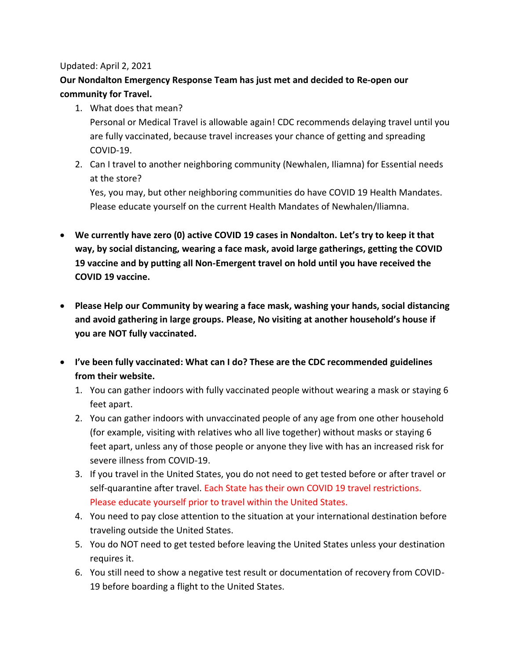## Updated: April 2, 2021

## **Our Nondalton Emergency Response Team has just met and decided to Re-open our community for Travel.**

- 1. What does that mean? Personal or Medical Travel is allowable again! CDC recommends delaying travel until you are fully vaccinated, because travel increases your chance of getting and spreading COVID-19.
- 2. Can I travel to another neighboring community (Newhalen, Iliamna) for Essential needs at the store? Yes, you may, but other neighboring communities do have COVID 19 Health Mandates. Please educate yourself on the current Health Mandates of Newhalen/Iliamna.
- **We currently have zero (0) active COVID 19 cases in Nondalton. Let's try to keep it that way, by social distancing, wearing a face mask, avoid large gatherings, getting the COVID 19 vaccine and by putting all Non-Emergent travel on hold until you have received the COVID 19 vaccine.**
- **Please Help our Community by wearing a face mask, washing your hands, social distancing and avoid gathering in large groups. Please, No visiting at another household's house if you are NOT fully vaccinated.**
- **I've been fully vaccinated: What can I do? These are the CDC recommended guidelines from their website.**
	- 1. You can gather indoors with fully vaccinated people without wearing a mask or staying 6 feet apart.
	- 2. You can gather indoors with unvaccinated people of any age from one other household (for example, visiting with relatives who all live together) without masks or staying 6 feet apart, unless any of those people or anyone they live with has an increased risk for severe illness from COVID-19.
	- 3. If you travel in the United States, you do not need to get tested before or after travel or self-quarantine after travel. Each State has their own COVID 19 travel restrictions. Please educate yourself prior to travel within the United States.
	- 4. You need to pay close attention to the situation at your international destination before traveling outside the United States.
	- 5. You do NOT need to get tested before leaving the United States unless your destination requires it.
	- 6. You still need to show a negative test result or documentation of recovery from COVID-19 before boarding a flight to the United States.